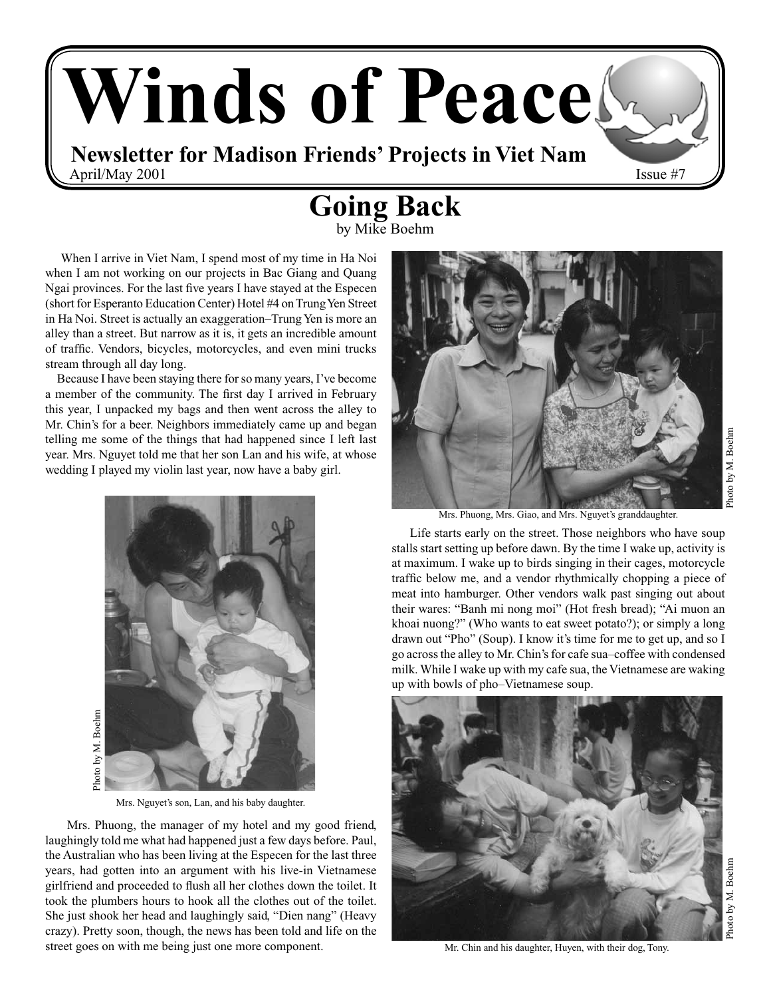# **Winds of Peace Newsletter for Madison Friends' Projects in Viet Nam** April/May 2001 Issue  $#7$

# **Going Back**

by Mike Boehm

 When I arrive in Viet Nam, I spend most of my time in Ha Noi when I am not working on our projects in Bac Giang and Quang Ngai provinces. For the last five years I have stayed at the Especen (short for Esperanto Education Center) Hotel #4 on Trung Yen Street in Ha Noi. Street is actually an exaggeration–Trung Yen is more an alley than a street. But narrow as it is, it gets an incredible amount of traffic. Vendors, bicycles, motorcycles, and even mini trucks stream through all day long.

 Because I have been staying there for so many years, I've become a member of the community. The first day I arrived in February this year, I unpacked my bags and then went across the alley to Mr. Chin's for a beer. Neighbors immediately came up and began telling me some of the things that had happened since I left last year. Mrs. Nguyet told me that her son Lan and his wife, at whose wedding I played my violin last year, now have a baby girl.



Mrs. Nguyet's son, Lan, and his baby daughter.

 Mrs. Phuong, the manager of my hotel and my good friend, laughingly told me what had happened just a few days before. Paul, the Australian who has been living at the Especen for the last three years, had gotten into an argument with his live-in Vietnamese girlfriend and proceeded to flush all her clothes down the toilet. It took the plumbers hours to hook all the clothes out of the toilet. She just shook her head and laughingly said, "Dien nang" (Heavy crazy). Pretty soon, though, the news has been told and life on the street goes on with me being just one more component.



Mrs. Phuong, Mrs. Giao, and Mrs. Nguyet's granddaughter.

 Life starts early on the street. Those neighbors who have soup stalls start setting up before dawn. By the time I wake up, activity is at maximum. I wake up to birds singing in their cages, motorcycle traffic below me, and a vendor rhythmically chopping a piece of meat into hamburger. Other vendors walk past singing out about their wares: "Banh mi nong moi" (Hot fresh bread); "Ai muon an khoai nuong?" (Who wants to eat sweet potato?); or simply a long drawn out "Pho" (Soup). I know it's time for me to get up, and so I go across the alley to Mr. Chin's for cafe sua–coffee with condensed milk. While I wake up with my cafe sua, the Vietnamese are waking up with bowls of pho–Vietnamese soup.



Mr. Chin and his daughter, Huyen, with their dog, Tony.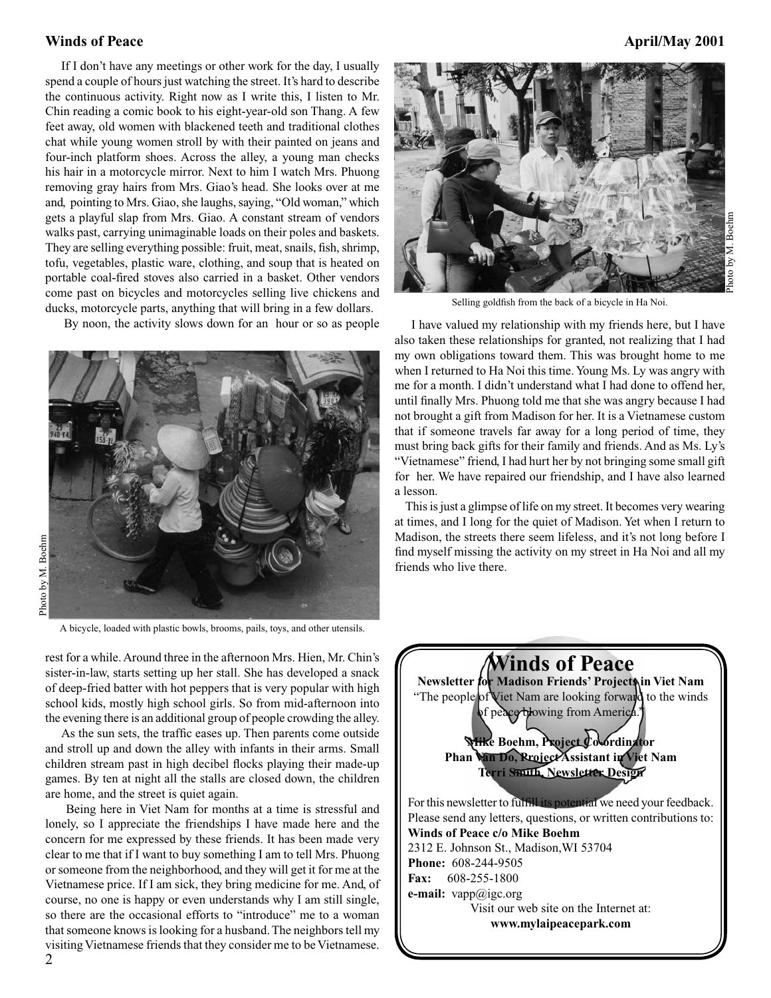If I don't have any meetings or other work for the day, I usually spend a couple of hours just watching the street. It's hard to describe the continuous activity. Right now as I write this, I listen to Mr. Chin reading a comic book to his eight-year-old son Thang. A few feet away, old women with blackened teeth and traditional clothes chat while young women stroll by with their painted on jeans and four-inch platform shoes. Across the alley, a young man checks his hair in a motorcycle mirror. Next to him I watch Mrs. Phuong removing gray hairs from Mrs. Giao's head. She looks over at me and, pointing to Mrs. Giao, she laughs, saying, "Old woman," which gets a playful slap from Mrs. Giao. A constant stream of vendors walks past, carrying unimaginable loads on their poles and baskets. They are selling everything possible: fruit, meat, snails, fish, shrimp, tofu, vegetables, plastic ware, clothing, and soup that is heated on portable coal-fired stoves also carried in a basket. Other vendors come past on bicycles and motorcycles selling live chickens and ducks, motorcycle parts, anything that will bring in a few dollars.

By noon, the activity slows down for an hour or so as people



rest for a while. Around three in the afternoon Mrs. Hien, Mr. Chin's sister-in-law, starts setting up her stall. She has developed a snack of deep-fried batter with hot peppers that is very popular with high school kids, mostly high school girls. So from mid-afternoon into the evening there is an additional group of people crowding the alley.

 As the sun sets, the traffic eases up. Then parents come outside and stroll up and down the alley with infants in their arms. Small children stream past in high decibel flocks playing their made-up games. By ten at night all the stalls are closed down, the children are home, and the street is quiet again.

 Being here in Viet Nam for months at a time is stressful and lonely, so I appreciate the friendships I have made here and the concern for me expressed by these friends. It has been made very clear to me that if I want to buy something I am to tell Mrs. Phuong or someone from the neighborhood, and they will get it for me at the Vietnamese price. If I am sick, they bring medicine for me. And, of course, no one is happy or even understands why I am still single, so there are the occasional efforts to "introduce" me to a woman that someone knows is looking for a husband. The neighbors tell my visiting Vietnamese friends that they consider me to be Vietnamese.



Selling goldfish from the back of a bicycle in Ha Noi.

 I have valued my relationship with my friends here, but I have also taken these relationships for granted, not realizing that I had my own obligations toward them. This was brought home to me when I returned to Ha Noi this time. Young Ms. Ly was angry with me for a month. I didn't understand what I had done to offend her, until finally Mrs. Phuong told me that she was angry because I had not brought a gift from Madison for her. It is a Vietnamese custom that if someone travels far away for a long period of time, they must bring back gifts for their family and friends. And as Ms. Ly's "Vietnamese" friend, I had hurt her by not bringing some small gift for her. We have repaired our friendship, and I have also learned a lesson.

 This is just a glimpse of life on my street. It becomes very wearing at times, and I long for the quiet of Madison. Yet when I return to Madison, the streets there seem lifeless, and it's not long before I find myself missing the activity on my street in Ha Noi and all my friends who live there.



Photo by M. Boehm Photo by M. Boehm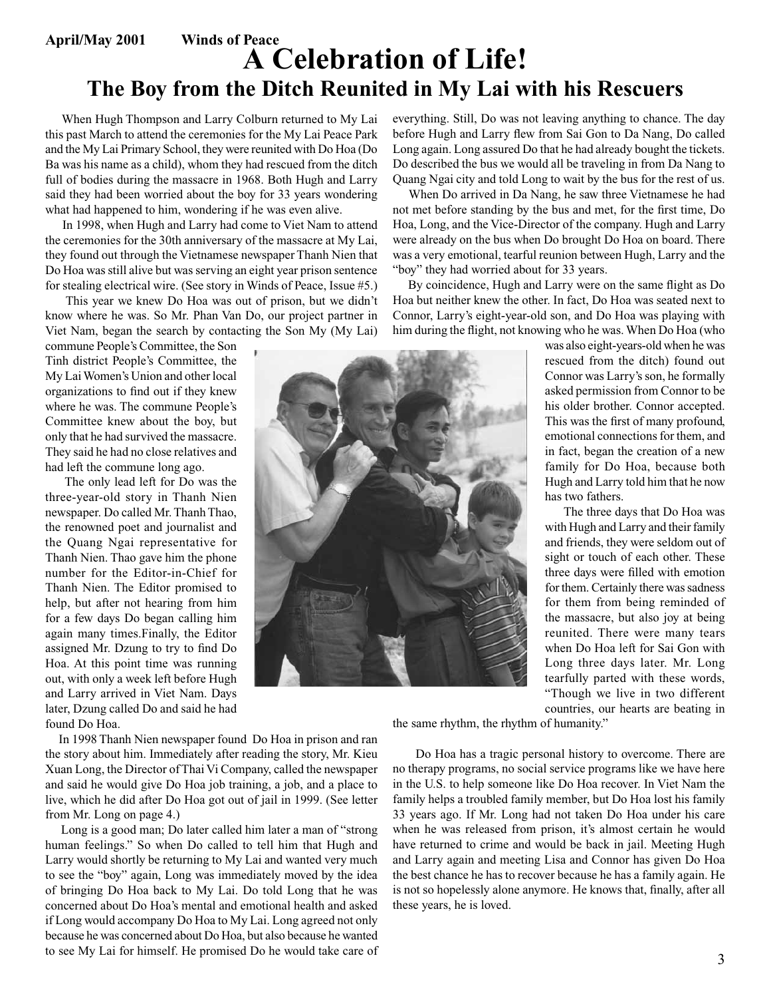## **April/May 2001 Winds of Peace A Celebration of Life! The Boy from the Ditch Reunited in My Lai with his Rescuers**

 When Hugh Thompson and Larry Colburn returned to My Lai this past March to attend the ceremonies for the My Lai Peace Park and the My Lai Primary School, they were reunited with Do Hoa (Do Ba was his name as a child), whom they had rescued from the ditch full of bodies during the massacre in 1968. Both Hugh and Larry said they had been worried about the boy for 33 years wondering what had happened to him, wondering if he was even alive.

 In 1998, when Hugh and Larry had come to Viet Nam to attend the ceremonies for the 30th anniversary of the massacre at My Lai, they found out through the Vietnamese newspaper Thanh Nien that Do Hoa was still alive but was serving an eight year prison sentence for stealing electrical wire. (See story in Winds of Peace, Issue #5.)

 This year we knew Do Hoa was out of prison, but we didn't know where he was. So Mr. Phan Van Do, our project partner in Viet Nam, began the search by contacting the Son My (My Lai)

commune People's Committee, the Son Tinh district People's Committee, the My Lai Women's Union and other local organizations to find out if they knew where he was. The commune People's Committee knew about the boy, but only that he had survived the massacre. They said he had no close relatives and had left the commune long ago.

 The only lead left for Do was the three-year-old story in Thanh Nien newspaper. Do called Mr. Thanh Thao, the renowned poet and journalist and the Quang Ngai representative for Thanh Nien. Thao gave him the phone number for the Editor-in-Chief for Thanh Nien. The Editor promised to help, but after not hearing from him for a few days Do began calling him again many times.Finally, the Editor assigned Mr. Dzung to try to find Do Hoa. At this point time was running out, with only a week left before Hugh and Larry arrived in Viet Nam. Days later, Dzung called Do and said he had found Do Hoa.

 In 1998 Thanh Nien newspaper found Do Hoa in prison and ran the story about him. Immediately after reading the story, Mr. Kieu Xuan Long, the Director of Thai Vi Company, called the newspaper and said he would give Do Hoa job training, a job, and a place to live, which he did after Do Hoa got out of jail in 1999. (See letter from Mr. Long on page 4.)

 Long is a good man; Do later called him later a man of "strong human feelings." So when Do called to tell him that Hugh and Larry would shortly be returning to My Lai and wanted very much to see the "boy" again, Long was immediately moved by the idea of bringing Do Hoa back to My Lai. Do told Long that he was concerned about Do Hoa's mental and emotional health and asked if Long would accompany Do Hoa to My Lai. Long agreed not only because he was concerned about Do Hoa, but also because he wanted to see My Lai for himself. He promised Do he would take care of everything. Still, Do was not leaving anything to chance. The day before Hugh and Larry flew from Sai Gon to Da Nang, Do called Long again. Long assured Do that he had already bought the tickets. Do described the bus we would all be traveling in from Da Nang to Quang Ngai city and told Long to wait by the bus for the rest of us.

 When Do arrived in Da Nang, he saw three Vietnamese he had not met before standing by the bus and met, for the first time, Do Hoa, Long, and the Vice-Director of the company. Hugh and Larry were already on the bus when Do brought Do Hoa on board. There was a very emotional, tearful reunion between Hugh, Larry and the "boy" they had worried about for 33 years.

 By coincidence, Hugh and Larry were on the same flight as Do Hoa but neither knew the other. In fact, Do Hoa was seated next to Connor, Larry's eight-year-old son, and Do Hoa was playing with him during the flight, not knowing who he was. When Do Hoa (who

> was also eight-years-old when he was rescued from the ditch) found out Connor was Larry's son, he formally asked permission from Connor to be his older brother. Connor accepted. This was the first of many profound, emotional connections for them, and in fact, began the creation of a new family for Do Hoa, because both Hugh and Larry told him that he now has two fathers.

> The three days that Do Hoa was with Hugh and Larry and their family and friends, they were seldom out of sight or touch of each other. These three days were filled with emotion for them. Certainly there was sadness for them from being reminded of the massacre, but also joy at being reunited. There were many tears when Do Hoa left for Sai Gon with Long three days later. Mr. Long tearfully parted with these words, "Though we live in two different countries, our hearts are beating in

the same rhythm, the rhythm of humanity."

 Do Hoa has a tragic personal history to overcome. There are no therapy programs, no social service programs like we have here in the U.S. to help someone like Do Hoa recover. In Viet Nam the family helps a troubled family member, but Do Hoa lost his family 33 years ago. If Mr. Long had not taken Do Hoa under his care when he was released from prison, it's almost certain he would have returned to crime and would be back in jail. Meeting Hugh and Larry again and meeting Lisa and Connor has given Do Hoa the best chance he has to recover because he has a family again. He is not so hopelessly alone anymore. He knows that, finally, after all these years, he is loved.

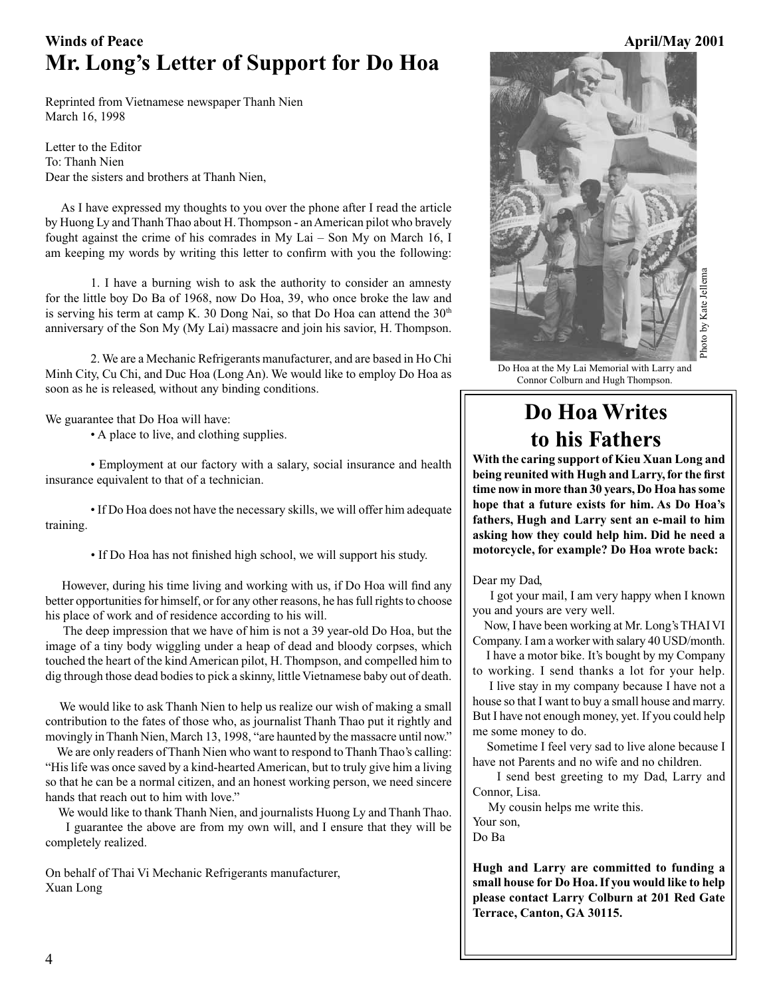## Winds of Peace **April/May 2001 Mr. Long's Letter of Support for Do Hoa**

Reprinted from Vietnamese newspaper Thanh Nien March 16, 1998

Letter to the Editor To: Thanh Nien Dear the sisters and brothers at Thanh Nien,

 As I have expressed my thoughts to you over the phone after I read the article by Huong Ly and Thanh Thao about H. Thompson - an American pilot who bravely fought against the crime of his comrades in My Lai – Son My on March 16, I am keeping my words by writing this letter to confirm with you the following:

1. I have a burning wish to ask the authority to consider an amnesty for the little boy Do Ba of 1968, now Do Hoa, 39, who once broke the law and is serving his term at camp K. 30 Dong Nai, so that Do Hoa can attend the 30<sup>th</sup> anniversary of the Son My (My Lai) massacre and join his savior, H. Thompson.

2. We are a Mechanic Refrigerants manufacturer, and are based in Ho Chi Minh City, Cu Chi, and Duc Hoa (Long An). We would like to employ Do Hoa as soon as he is released, without any binding conditions.

We guarantee that Do Hoa will have:

 • A place to live, and clothing supplies.

 • Employment at our factory with a salary, social insurance and health insurance equivalent to that of a technician.

 • If Do Hoa does not have the necessary skills, we will offer him adequate training.

 • If Do Hoa has not finished high school, we will support his study.

 However, during his time living and working with us, if Do Hoa will find any better opportunities for himself, or for any other reasons, he has full rights to choose his place of work and of residence according to his will.

 The deep impression that we have of him is not a 39 year-old Do Hoa, but the image of a tiny body wiggling under a heap of dead and bloody corpses, which touched the heart of the kind American pilot, H. Thompson, and compelled him to dig through those dead bodies to pick a skinny, little Vietnamese baby out of death.

 We would like to ask Thanh Nien to help us realize our wish of making a small contribution to the fates of those who, as journalist Thanh Thao put it rightly and movingly in Thanh Nien, March 13, 1998, "are haunted by the massacre until now."

 We are only readers of Thanh Nien who want to respond to Thanh Thao's calling: "His life was once saved by a kind-hearted American, but to truly give him a living so that he can be a normal citizen, and an honest working person, we need sincere hands that reach out to him with love."

 We would like to thank Thanh Nien, and journalists Huong Ly and Thanh Thao. I guarantee the above are from my own will, and I ensure that they will be completely realized.

On behalf of Thai Vi Mechanic Refrigerants manufacturer, Xuan Long



Do Hoa at the My Lai Memorial with Larry and Connor Colburn and Hugh Thompson.

## **Do Hoa Writes to his Fathers**

**With the caring support of Kieu Xuan Long and being reunited with Hugh and Larry, for the first time now in more than 30 years, Do Hoa has some hope that a future exists for him. As Do Hoa's fathers, Hugh and Larry sent an e-mail to him asking how they could help him. Did he need a motorcycle, for example? Do Hoa wrote back:**

Dear my Dad,

 I got your mail, I am very happy when I known you and yours are very well.

 Now, I have been working at Mr. Long's THAI VI Company. I am a worker with salary 40 USD/month.

 I have a motor bike. It's bought by my Company to working. I send thanks a lot for your help.

 I live stay in my company because I have not a house so that I want to buy a small house and marry. But I have not enough money, yet. If you could help me some money to do.

 Sometime I feel very sad to live alone because I have not Parents and no wife and no children.

 I send best greeting to my Dad, Larry and Connor, Lisa.

My cousin helps me write this.

Your son,

Do Ba

**Hugh and Larry are committed to funding a small house for Do Hoa. If you would like to help please contact Larry Colburn at 201 Red Gate Terrace, Canton, GA 30115.**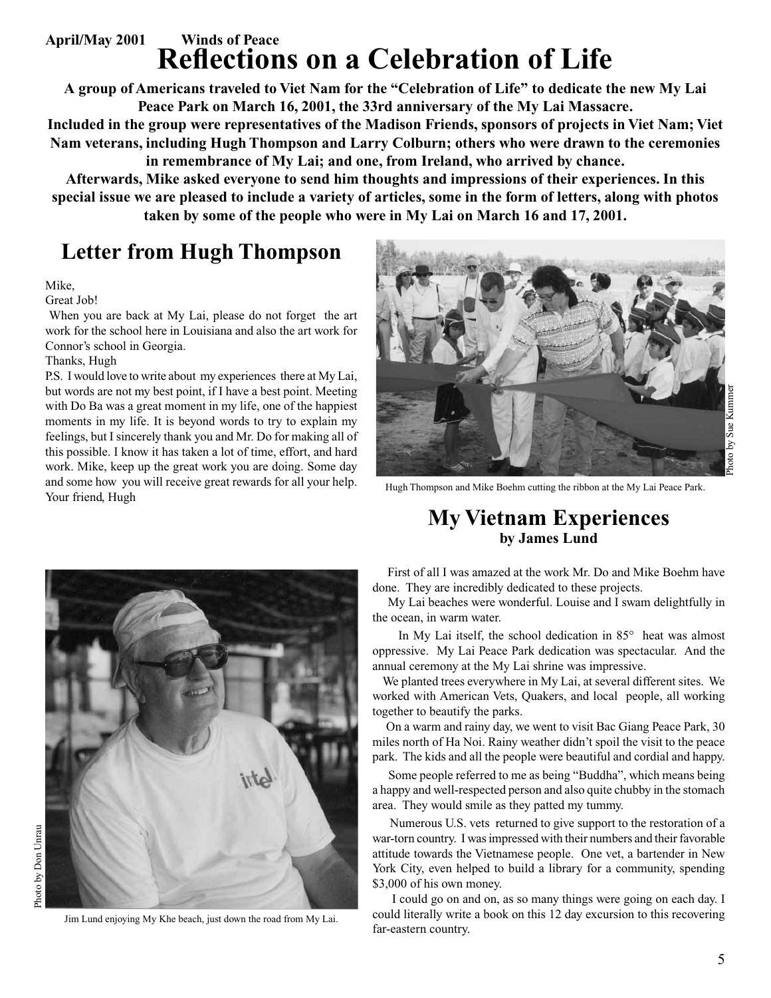## **April/May 2001 Winds of Peace Reflections on a Celebration of Life**

**A group of Americans traveled to Viet Nam for the "Celebration of Life" to dedicate the new My Lai Peace Park on March 16, 2001, the 33rd anniversary of the My Lai Massacre.** 

**Included in the group were representatives of the Madison Friends, sponsors of projects in Viet Nam; Viet Nam veterans, including Hugh Thompson and Larry Colburn; others who were drawn to the ceremonies in remembrance of My Lai; and one, from Ireland, who arrived by chance.** 

**Afterwards, Mike asked everyone to send him thoughts and impressions of their experiences. In this special issue we are pleased to include a variety of articles, some in the form of letters, along with photos taken by some of the people who were in My Lai on March 16 and 17, 2001.** 

## **Letter from Hugh Thompson**

### Mike,

Great Job!

 When you are back at My Lai, please do not forget the art work for the school here in Louisiana and also the art work for Connor's school in Georgia.

### Thanks, Hugh

P.S. I would love to write about my experiences there at My Lai, but words are not my best point, if I have a best point. Meeting with Do Ba was a great moment in my life, one of the happiest moments in my life. It is beyond words to try to explain my feelings, but I sincerely thank you and Mr. Do for making all of this possible. I know it has taken a lot of time, effort, and hard work. Mike, keep up the great work you are doing. Some day and some how you will receive great rewards for all your help. and some now you will receive great rewards for all your neip. Hugh Thompson and Mike Boehm cutting the ribbon at the My Lai Peace Park.<br>Your friend, Hugh





Jim Lund enjoying My Khe beach, just down the road from My Lai.

## **My Vietnam Experiences by James Lund**

 First of all I was amazed at the work Mr. Do and Mike Boehm have done. They are incredibly dedicated to these projects.

 My Lai beaches were wonderful. Louise and I swam delightfully in the ocean, in warm water.

 In My Lai itself, the school dedication in 85° heat was almost oppressive. My Lai Peace Park dedication was spectacular. And the annual ceremony at the My Lai shrine was impressive.

 We planted trees everywhere in My Lai, at several different sites. We worked with American Vets, Quakers, and local people, all working together to beautify the parks.

 On a warm and rainy day, we went to visit Bac Giang Peace Park, 30 miles north of Ha Noi. Rainy weather didn't spoil the visit to the peace park. The kids and all the people were beautiful and cordial and happy.

 Some people referred to me as being "Buddha", which means being a happy and well-respected person and also quite chubby in the stomach area. They would smile as they patted my tummy.

 Numerous U.S. vets returned to give support to the restoration of a war-torn country. I was impressed with their numbers and their favorable attitude towards the Vietnamese people. One vet, a bartender in New York City, even helped to build a library for a community, spending \$3,000 of his own money.

 I could go on and on, as so many things were going on each day. I could literally write a book on this 12 day excursion to this recovering far-eastern country.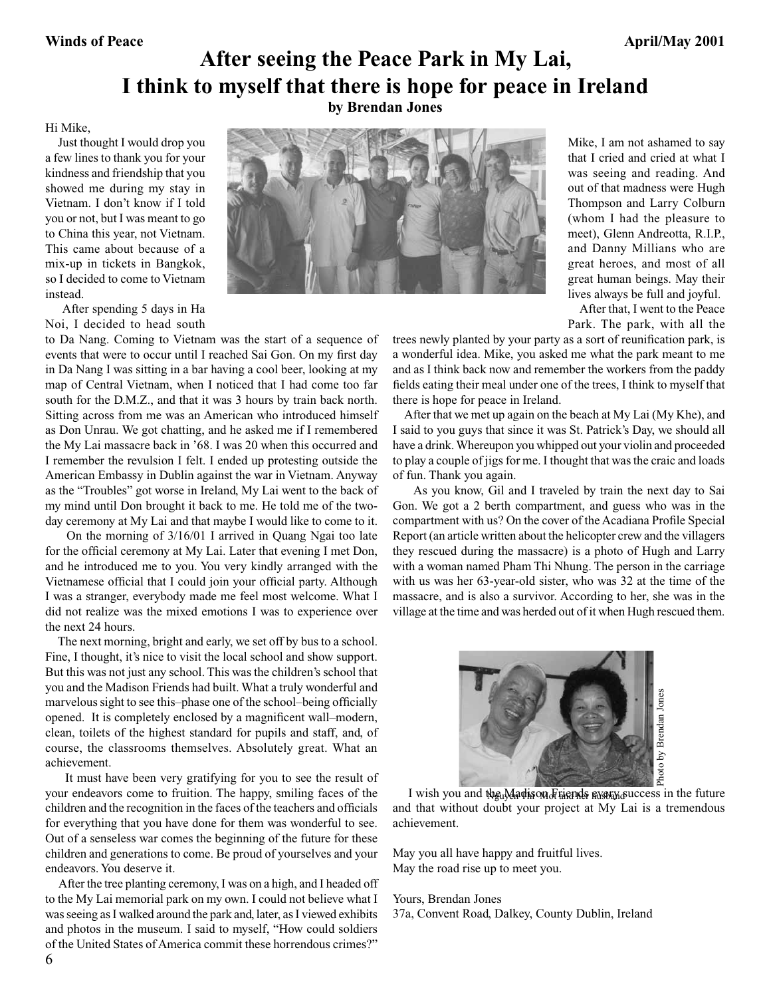## **After seeing the Peace Park in My Lai, I think to myself that there is hope for peace in Ireland by Brendan Jones**

### Hi Mike,

 Just thought I would drop you a few lines to thank you for your kindness and friendship that you showed me during my stay in Vietnam. I don't know if I told you or not, but I was meant to go to China this year, not Vietnam. This came about because of a mix-up in tickets in Bangkok, so I decided to come to Vietnam instead.

 After spending 5 days in Ha Noi, I decided to head south

to Da Nang. Coming to Vietnam was the start of a sequence of events that were to occur until I reached Sai Gon. On my first day in Da Nang I was sitting in a bar having a cool beer, looking at my map of Central Vietnam, when I noticed that I had come too far south for the D.M.Z., and that it was 3 hours by train back north. Sitting across from me was an American who introduced himself as Don Unrau. We got chatting, and he asked me if I remembered the My Lai massacre back in '68. I was 20 when this occurred and I remember the revulsion I felt. I ended up protesting outside the American Embassy in Dublin against the war in Vietnam. Anyway as the "Troubles" got worse in Ireland, My Lai went to the back of my mind until Don brought it back to me. He told me of the twoday ceremony at My Lai and that maybe I would like to come to it.

 On the morning of 3/16/01 I arrived in Quang Ngai too late for the official ceremony at My Lai. Later that evening I met Don, and he introduced me to you. You very kindly arranged with the Vietnamese official that I could join your official party. Although I was a stranger, everybody made me feel most welcome. What I did not realize was the mixed emotions I was to experience over the next 24 hours.

 The next morning, bright and early, we set off by bus to a school. Fine, I thought, it's nice to visit the local school and show support. But this was not just any school. This was the children's school that you and the Madison Friends had built. What a truly wonderful and marvelous sight to see this–phase one of the school–being officially opened. It is completely enclosed by a magnificent wall–modern, clean, toilets of the highest standard for pupils and staff, and, of course, the classrooms themselves. Absolutely great. What an achievement.

 It must have been very gratifying for you to see the result of your endeavors come to fruition. The happy, smiling faces of the children and the recognition in the faces of the teachers and officials for everything that you have done for them was wonderful to see. Out of a senseless war comes the beginning of the future for these children and generations to come. Be proud of yourselves and your endeavors. You deserve it.

 After the tree planting ceremony, I was on a high, and I headed off to the My Lai memorial park on my own. I could not believe what I was seeing as I walked around the park and, later, as I viewed exhibits and photos in the museum. I said to myself, "How could soldiers of the United States of America commit these horrendous crimes?"



Mike, I am not ashamed to say that I cried and cried at what I was seeing and reading. And out of that madness were Hugh Thompson and Larry Colburn (whom I had the pleasure to meet), Glenn Andreotta, R.I.P., and Danny Millians who are great heroes, and most of all great human beings. May their lives always be full and joyful.

 After that, I went to the Peace Park. The park, with all the

trees newly planted by your party as a sort of reunification park, is a wonderful idea. Mike, you asked me what the park meant to me and as I think back now and remember the workers from the paddy fields eating their meal under one of the trees, I think to myself that there is hope for peace in Ireland.

 After that we met up again on the beach at My Lai (My Khe), and I said to you guys that since it was St. Patrick's Day, we should all have a drink. Whereupon you whipped out your violin and proceeded to play a couple of jigs for me. I thought that was the craic and loads of fun. Thank you again.

 As you know, Gil and I traveled by train the next day to Sai Gon. We got a 2 berth compartment, and guess who was in the compartment with us? On the cover of the Acadiana Profile Special Report (an article written about the helicopter crew and the villagers they rescued during the massacre) is a photo of Hugh and Larry with a woman named Pham Thi Nhung. The person in the carriage with us was her 63-year-old sister, who was 32 at the time of the massacre, and is also a survivor. According to her, she was in the village at the time and was herded out of it when Hugh rescued them.



I wish you and the Madison Fuends every success in the future and that without doubt your project at My Lai is a tremendous achievement.

May you all have happy and fruitful lives. May the road rise up to meet you.

### Yours, Brendan Jones

37a, Convent Road, Dalkey, County Dublin, Ireland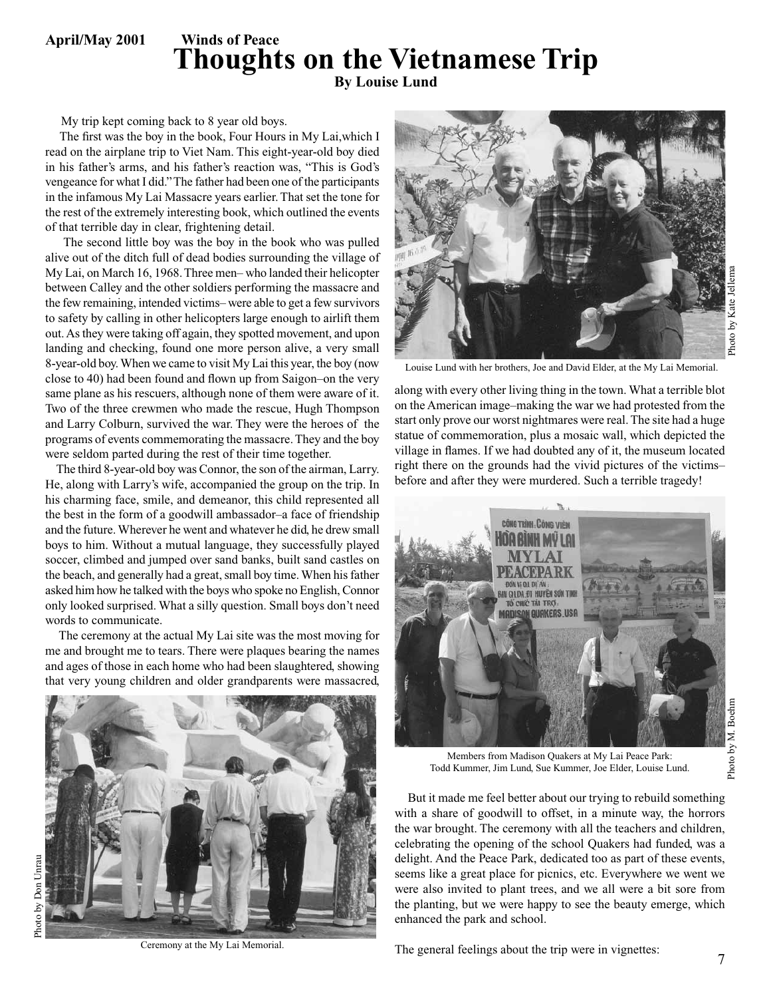**April/May 2001 Winds of Peace** 

## **Thoughts on the Vietnamese Trip By Louise Lund**

My trip kept coming back to 8 year old boys.

 The first was the boy in the book, Four Hours in My Lai,which I read on the airplane trip to Viet Nam. This eight-year-old boy died in his father's arms, and his father's reaction was, "This is God's vengeance for what I did." The father had been one of the participants in the infamous My Lai Massacre years earlier. That set the tone for the rest of the extremely interesting book, which outlined the events of that terrible day in clear, frightening detail.

 The second little boy was the boy in the book who was pulled alive out of the ditch full of dead bodies surrounding the village of My Lai, on March 16, 1968. Three men– who landed their helicopter between Calley and the other soldiers performing the massacre and the few remaining, intended victims– were able to get a few survivors to safety by calling in other helicopters large enough to airlift them out. As they were taking off again, they spotted movement, and upon landing and checking, found one more person alive, a very small 8-year-old boy. When we came to visit My Lai this year, the boy (now close to 40) had been found and flown up from Saigon–on the very same plane as his rescuers, although none of them were aware of it. Two of the three crewmen who made the rescue, Hugh Thompson and Larry Colburn, survived the war. They were the heroes of the programs of events commemorating the massacre. They and the boy were seldom parted during the rest of their time together.

 The third 8-year-old boy was Connor, the son of the airman, Larry. He, along with Larry's wife, accompanied the group on the trip. In his charming face, smile, and demeanor, this child represented all the best in the form of a goodwill ambassador–a face of friendship and the future. Wherever he went and whatever he did, he drew small boys to him. Without a mutual language, they successfully played soccer, climbed and jumped over sand banks, built sand castles on the beach, and generally had a great, small boy time. When his father asked him how he talked with the boys who spoke no English, Connor only looked surprised. What a silly question. Small boys don't need words to communicate.

 The ceremony at the actual My Lai site was the most moving for me and brought me to tears. There were plaques bearing the names and ages of those in each home who had been slaughtered, showing that very young children and older grandparents were massacred,



Ceremony at the My Lai Memorial.



Louise Lund with her brothers, Joe and David Elder, at the My Lai Memorial.

along with every other living thing in the town. What a terrible blot on the American image–making the war we had protested from the start only prove our worst nightmares were real. The site had a huge statue of commemoration, plus a mosaic wall, which depicted the village in flames. If we had doubted any of it, the museum located right there on the grounds had the vivid pictures of the victims– before and after they were murdered. Such a terrible tragedy!



Photo by M. Boehm M. Boehm Photo by

Members from Madison Quakers at My Lai Peace Park: Todd Kummer, Jim Lund, Sue Kummer, Joe Elder, Louise Lund.

 But it made me feel better about our trying to rebuild something with a share of goodwill to offset, in a minute way, the horrors the war brought. The ceremony with all the teachers and children, celebrating the opening of the school Quakers had funded, was a delight. And the Peace Park, dedicated too as part of these events, seems like a great place for picnics, etc. Everywhere we went we were also invited to plant trees, and we all were a bit sore from the planting, but we were happy to see the beauty emerge, which enhanced the park and school.

The general feelings about the trip were in vignettes: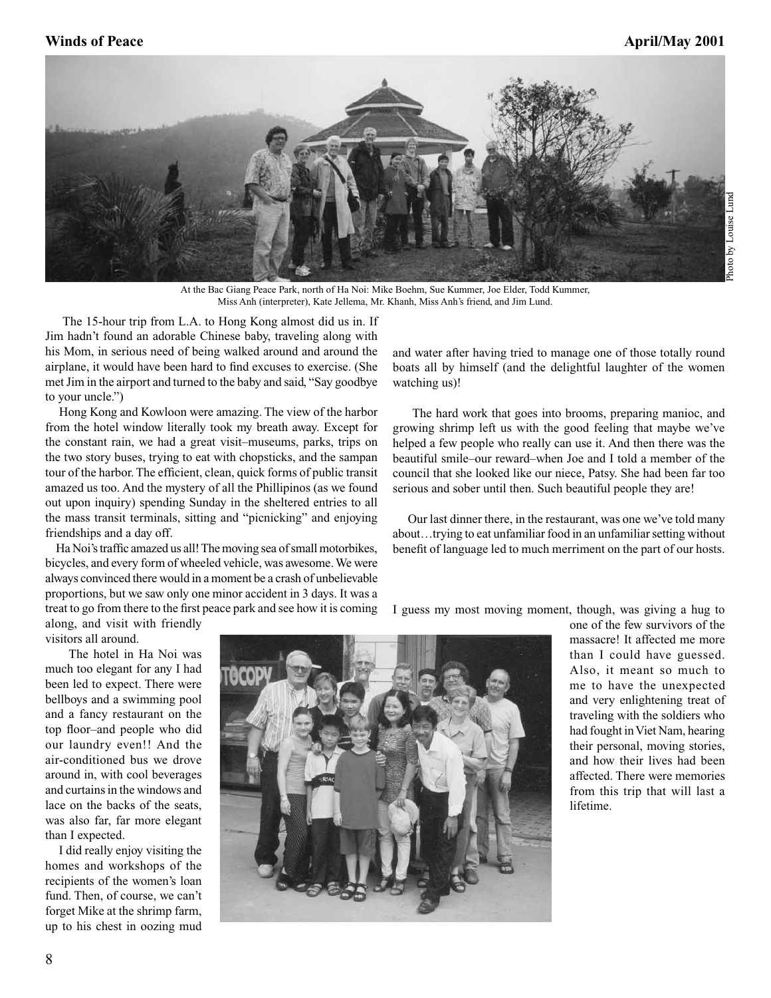

At the Bac Giang Peace Park, north of Ha Noi: Mike Boehm, Sue Kummer, Joe Elder, Todd Kummer, Miss Anh (interpreter), Kate Jellema, Mr. Khanh, Miss Anh's friend, and Jim Lund.

 The 15-hour trip from L.A. to Hong Kong almost did us in. If Jim hadn't found an adorable Chinese baby, traveling along with his Mom, in serious need of being walked around and around the airplane, it would have been hard to find excuses to exercise. (She met Jim in the airport and turned to the baby and said, "Say goodbye to your uncle.")

 Hong Kong and Kowloon were amazing. The view of the harbor from the hotel window literally took my breath away. Except for the constant rain, we had a great visit–museums, parks, trips on the two story buses, trying to eat with chopsticks, and the sampan tour of the harbor. The efficient, clean, quick forms of public transit amazed us too. And the mystery of all the Phillipinos (as we found out upon inquiry) spending Sunday in the sheltered entries to all the mass transit terminals, sitting and "picnicking" and enjoying friendships and a day off.

 Ha Noi's traffic amazed us all! The moving sea of small motorbikes, bicycles, and every form of wheeled vehicle, was awesome. We were always convinced there would in a moment be a crash of unbelievable proportions, but we saw only one minor accident in 3 days. It was a treat to go from there to the first peace park and see how it is coming

and water after having tried to manage one of those totally round boats all by himself (and the delightful laughter of the women watching us)!

 The hard work that goes into brooms, preparing manioc, and growing shrimp left us with the good feeling that maybe we've helped a few people who really can use it. And then there was the beautiful smile–our reward–when Joe and I told a member of the council that she looked like our niece, Patsy. She had been far too serious and sober until then. Such beautiful people they are!

 Our last dinner there, in the restaurant, was one we've told many about…trying to eat unfamiliar food in an unfamiliar setting without benefit of language led to much merriment on the part of our hosts.

I guess my most moving moment, though, was giving a hug to

along, and visit with friendly visitors all around.

 The hotel in Ha Noi was much too elegant for any I had been led to expect. There were bellboys and a swimming pool and a fancy restaurant on the top floor–and people who did our laundry even!! And the air-conditioned bus we drove around in, with cool beverages and curtains in the windows and lace on the backs of the seats, was also far, far more elegant than I expected.

 I did really enjoy visiting the homes and workshops of the recipients of the women's loan fund. Then, of course, we can't forget Mike at the shrimp farm, up to his chest in oozing mud



one of the few survivors of the massacre! It affected me more than I could have guessed. Also, it meant so much to me to have the unexpected and very enlightening treat of traveling with the soldiers who had fought in Viet Nam, hearing their personal, moving stories, and how their lives had been affected. There were memories from this trip that will last a lifetime.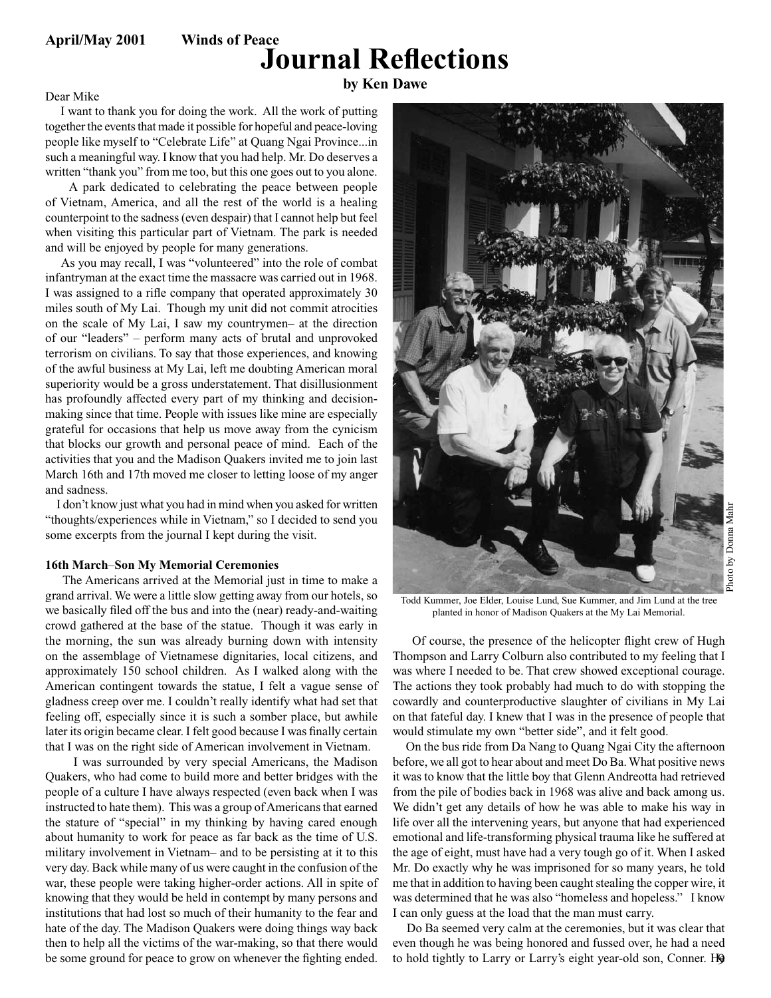## **Journal Reflections**

## **by Ken Dawe** Dear Mike

 I want to thank you for doing the work. All the work of putting together the events that made it possible for hopeful and peace-loving people like myself to "Celebrate Life" at Quang Ngai Province...in such a meaningful way. I know that you had help. Mr. Do deserves a written "thank you" from me too, but this one goes out to you alone.

 A park dedicated to celebrating the peace between people of Vietnam, America, and all the rest of the world is a healing counterpoint to the sadness (even despair) that I cannot help but feel when visiting this particular part of Vietnam. The park is needed and will be enjoyed by people for many generations.

 As you may recall, I was "volunteered" into the role of combat infantryman at the exact time the massacre was carried out in 1968. I was assigned to a rifle company that operated approximately 30 miles south of My Lai. Though my unit did not commit atrocities on the scale of My Lai, I saw my countrymen– at the direction of our "leaders" – perform many acts of brutal and unprovoked terrorism on civilians. To say that those experiences, and knowing of the awful business at My Lai, left me doubting American moral superiority would be a gross understatement. That disillusionment has profoundly affected every part of my thinking and decisionmaking since that time. People with issues like mine are especially grateful for occasions that help us move away from the cynicism that blocks our growth and personal peace of mind. Each of the activities that you and the Madison Quakers invited me to join last March 16th and 17th moved me closer to letting loose of my anger and sadness.

 I don't know just what you had in mind when you asked for written "thoughts/experiences while in Vietnam," so I decided to send you some excerpts from the journal I kept during the visit.

### **16th March**–**Son My Memorial Ceremonies**

 The Americans arrived at the Memorial just in time to make a grand arrival. We were a little slow getting away from our hotels, so we basically filed off the bus and into the (near) ready-and-waiting crowd gathered at the base of the statue. Though it was early in the morning, the sun was already burning down with intensity on the assemblage of Vietnamese dignitaries, local citizens, and approximately 150 school children. As I walked along with the American contingent towards the statue, I felt a vague sense of gladness creep over me. I couldn't really identify what had set that feeling off, especially since it is such a somber place, but awhile later its origin became clear. I felt good because I was finally certain that I was on the right side of American involvement in Vietnam.

 I was surrounded by very special Americans, the Madison Quakers, who had come to build more and better bridges with the people of a culture I have always respected (even back when I was instructed to hate them). This was a group of Americans that earned the stature of "special" in my thinking by having cared enough about humanity to work for peace as far back as the time of U.S. military involvement in Vietnam– and to be persisting at it to this very day. Back while many of us were caught in the confusion of the war, these people were taking higher-order actions. All in spite of knowing that they would be held in contempt by many persons and institutions that had lost so much of their humanity to the fear and hate of the day. The Madison Quakers were doing things way back then to help all the victims of the war-making, so that there would be some ground for peace to grow on whenever the fighting ended.



Todd Kummer, Joe Elder, Louise Lund, Sue Kummer, and Jim Lund at the tree planted in honor of Madison Quakers at the My Lai Memorial.

 Of course, the presence of the helicopter flight crew of Hugh Thompson and Larry Colburn also contributed to my feeling that I was where I needed to be. That crew showed exceptional courage. The actions they took probably had much to do with stopping the cowardly and counterproductive slaughter of civilians in My Lai on that fateful day. I knew that I was in the presence of people that would stimulate my own "better side", and it felt good.

 On the bus ride from Da Nang to Quang Ngai City the afternoon before, we all got to hear about and meet Do Ba. What positive news it was to know that the little boy that Glenn Andreotta had retrieved from the pile of bodies back in 1968 was alive and back among us. We didn't get any details of how he was able to make his way in life over all the intervening years, but anyone that had experienced emotional and life-transforming physical trauma like he suffered at the age of eight, must have had a very tough go of it. When I asked Mr. Do exactly why he was imprisoned for so many years, he told me that in addition to having been caught stealing the copper wire, it was determined that he was also "homeless and hopeless." I know I can only guess at the load that the man must carry.

to hold tightly to Larry or Larry's eight year-old son, Conner. H9 Do Ba seemed very calm at the ceremonies, but it was clear that even though he was being honored and fussed over, he had a need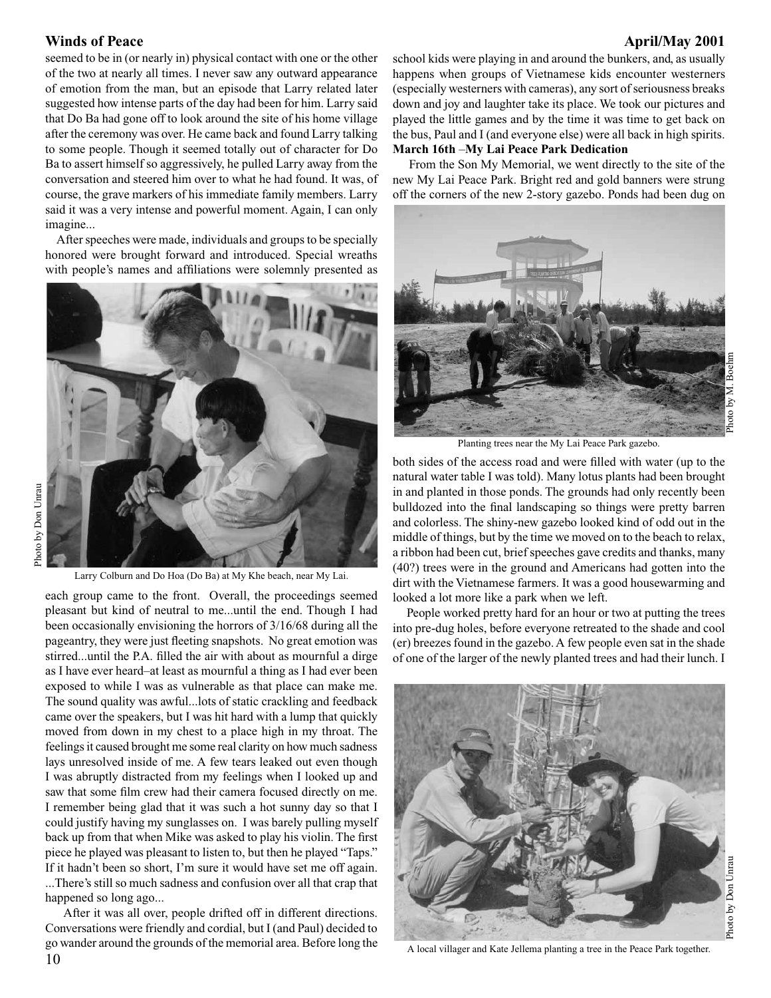seemed to be in (or nearly in) physical contact with one or the other of the two at nearly all times. I never saw any outward appearance of emotion from the man, but an episode that Larry related later suggested how intense parts of the day had been for him. Larry said that Do Ba had gone off to look around the site of his home village after the ceremony was over. He came back and found Larry talking to some people. Though it seemed totally out of character for Do Ba to assert himself so aggressively, he pulled Larry away from the conversation and steered him over to what he had found. It was, of course, the grave markers of his immediate family members. Larry said it was a very intense and powerful moment. Again, I can only imagine...

 After speeches were made, individuals and groups to be specially honored were brought forward and introduced. Special wreaths with people's names and affiliations were solemnly presented as



Larry Colburn and Do Hoa (Do Ba) at My Khe beach, near My Lai.

each group came to the front. Overall, the proceedings seemed pleasant but kind of neutral to me...until the end. Though I had been occasionally envisioning the horrors of 3/16/68 during all the pageantry, they were just fleeting snapshots. No great emotion was stirred...until the P.A. filled the air with about as mournful a dirge as I have ever heard–at least as mournful a thing as I had ever been exposed to while I was as vulnerable as that place can make me. The sound quality was awful...lots of static crackling and feedback came over the speakers, but I was hit hard with a lump that quickly moved from down in my chest to a place high in my throat. The feelings it caused brought me some real clarity on how much sadness lays unresolved inside of me. A few tears leaked out even though I was abruptly distracted from my feelings when I looked up and saw that some film crew had their camera focused directly on me. I remember being glad that it was such a hot sunny day so that I could justify having my sunglasses on. I was barely pulling myself back up from that when Mike was asked to play his violin. The first piece he played was pleasant to listen to, but then he played "Taps." If it hadn't been so short, I'm sure it would have set me off again. ...There's still so much sadness and confusion over all that crap that happened so long ago...

 After it was all over, people drifted off in different directions. Conversations were friendly and cordial, but I (and Paul) decided to go wander around the grounds of the memorial area. Before long the

### Winds of Peace **April/May 2001**

Photo by M. Boehm **March 16th** –**My Lai Peace Park Dedication** From the Son My Memorial, we went directly to the site of the new My Lai Peace Park. Bright red and gold banners were strung off the corners of the new 2-story gazebo. Ponds had been dug on

school kids were playing in and around the bunkers, and, as usually happens when groups of Vietnamese kids encounter westerners (especially westerners with cameras), any sort of seriousness breaks down and joy and laughter take its place. We took our pictures and played the little games and by the time it was time to get back on the bus, Paul and I (and everyone else) were all back in high spirits.

hoto

Planting trees near the My Lai Peace Park gazebo.

both sides of the access road and were filled with water (up to the natural water table I was told). Many lotus plants had been brought in and planted in those ponds. The grounds had only recently been bulldozed into the final landscaping so things were pretty barren and colorless. The shiny-new gazebo looked kind of odd out in the middle of things, but by the time we moved on to the beach to relax, a ribbon had been cut, brief speeches gave credits and thanks, many (40?) trees were in the ground and Americans had gotten into the dirt with the Vietnamese farmers. It was a good housewarming and looked a lot more like a park when we left.

 People worked pretty hard for an hour or two at putting the trees into pre-dug holes, before everyone retreated to the shade and cool (er) breezes found in the gazebo. A few people even sat in the shade of one of the larger of the newly planted trees and had their lunch. I



A local villager and Kate Jellema planting a tree in the Peace Park together.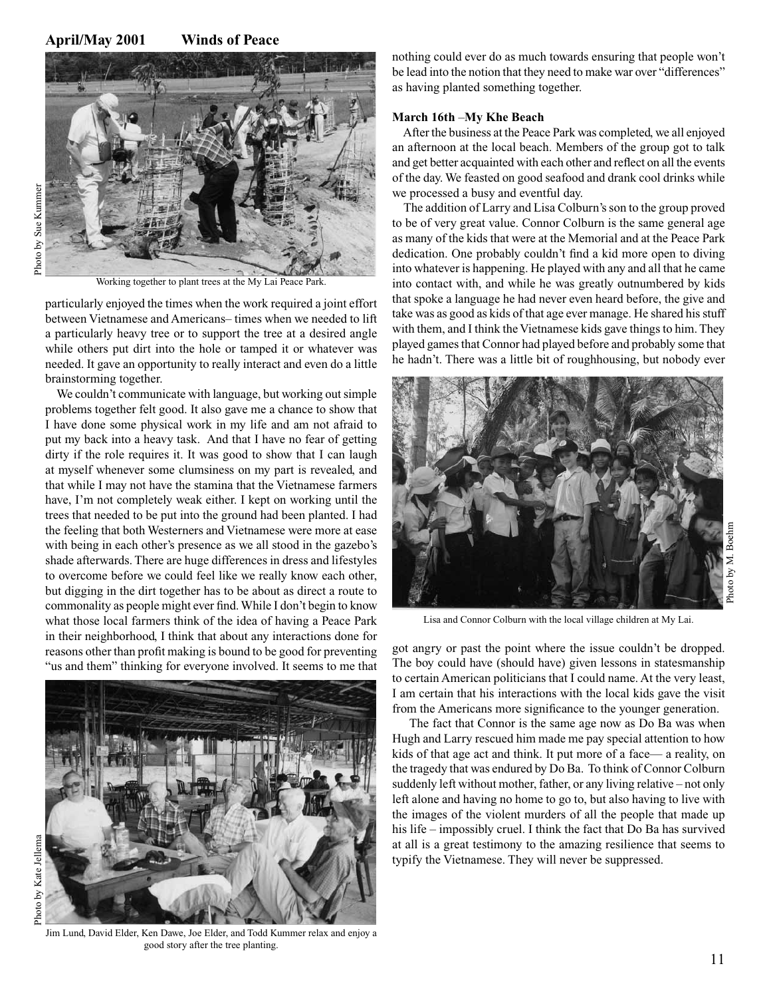### **April/May 2001 Winds of Peace**



Photo by Sue KummerPhoto by Sue Kummer

Working together to plant trees at the My Lai Peace Park.

particularly enjoyed the times when the work required a joint effort between Vietnamese and Americans– times when we needed to lift a particularly heavy tree or to support the tree at a desired angle while others put dirt into the hole or tamped it or whatever was needed. It gave an opportunity to really interact and even do a little brainstorming together.

We couldn't communicate with language, but working out simple problems together felt good. It also gave me a chance to show that I have done some physical work in my life and am not afraid to put my back into a heavy task. And that I have no fear of getting dirty if the role requires it. It was good to show that I can laugh at myself whenever some clumsiness on my part is revealed, and that while I may not have the stamina that the Vietnamese farmers have, I'm not completely weak either. I kept on working until the trees that needed to be put into the ground had been planted. I had the feeling that both Westerners and Vietnamese were more at ease with being in each other's presence as we all stood in the gazebo's shade afterwards. There are huge differences in dress and lifestyles to overcome before we could feel like we really know each other, but digging in the dirt together has to be about as direct a route to commonality as people might ever find. While I don't begin to know what those local farmers think of the idea of having a Peace Park in their neighborhood, I think that about any interactions done for reasons other than profit making is bound to be good for preventing "us and them" thinking for everyone involved. It seems to me that



Jim Lund, David Elder, Ken Dawe, Joe Elder, and Todd Kummer relax and enjoy a good story after the tree planting.

nothing could ever do as much towards ensuring that people won't be lead into the notion that they need to make war over "differences" as having planted something together.

### **March 16th** –**My Khe Beach**

 After the business at the Peace Park was completed, we all enjoyed an afternoon at the local beach. Members of the group got to talk and get better acquainted with each other and reflect on all the events of the day. We feasted on good seafood and drank cool drinks while we processed a busy and eventful day.

 The addition of Larry and Lisa Colburn's son to the group proved to be of very great value. Connor Colburn is the same general age as many of the kids that were at the Memorial and at the Peace Park dedication. One probably couldn't find a kid more open to diving into whatever is happening. He played with any and all that he came into contact with, and while he was greatly outnumbered by kids that spoke a language he had never even heard before, the give and take was as good as kids of that age ever manage. He shared his stuff with them, and I think the Vietnamese kids gave things to him. They played games that Connor had played before and probably some that he hadn't. There was a little bit of roughhousing, but nobody ever



Lisa and Connor Colburn with the local village children at My Lai.

got angry or past the point where the issue couldn't be dropped. The boy could have (should have) given lessons in statesmanship to certain American politicians that I could name. At the very least, I am certain that his interactions with the local kids gave the visit from the Americans more significance to the younger generation.

 The fact that Connor is the same age now as Do Ba was when Hugh and Larry rescued him made me pay special attention to how kids of that age act and think. It put more of a face— a reality, on the tragedy that was endured by Do Ba. To think of Connor Colburn suddenly left without mother, father, or any living relative – not only left alone and having no home to go to, but also having to live with the images of the violent murders of all the people that made up his life – impossibly cruel. I think the fact that Do Ba has survived at all is a great testimony to the amazing resilience that seems to typify the Vietnamese. They will never be suppressed.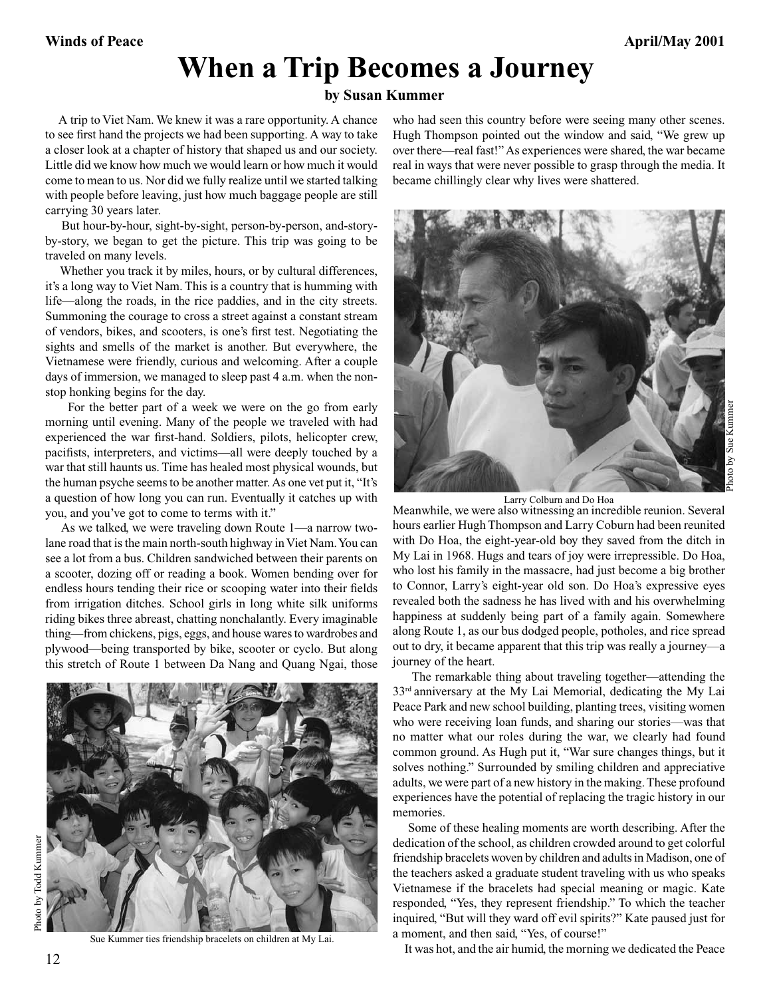# **When a Trip Becomes a Journey**

### **by Susan Kummer**

 A trip to Viet Nam. We knew it was a rare opportunity. A chance to see first hand the projects we had been supporting. A way to take a closer look at a chapter of history that shaped us and our society. Little did we know how much we would learn or how much it would come to mean to us. Nor did we fully realize until we started talking with people before leaving, just how much baggage people are still carrying 30 years later.

 But hour-by-hour, sight-by-sight, person-by-person, and-storyby-story, we began to get the picture. This trip was going to be traveled on many levels.

 Whether you track it by miles, hours, or by cultural differences, it's a long way to Viet Nam. This is a country that is humming with life—along the roads, in the rice paddies, and in the city streets. Summoning the courage to cross a street against a constant stream of vendors, bikes, and scooters, is one's first test. Negotiating the sights and smells of the market is another. But everywhere, the Vietnamese were friendly, curious and welcoming. After a couple days of immersion, we managed to sleep past 4 a.m. when the nonstop honking begins for the day.

 For the better part of a week we were on the go from early morning until evening. Many of the people we traveled with had experienced the war first-hand. Soldiers, pilots, helicopter crew, pacifists, interpreters, and victims—all were deeply touched by a war that still haunts us. Time has healed most physical wounds, but the human psyche seems to be another matter. As one vet put it, "It's a question of how long you can run. Eventually it catches up with you, and you've got to come to terms with it."

 this stretch of Route 1 between Da Nang and Quang Ngai, those As we talked, we were traveling down Route 1—a narrow twolane road that is the main north-south highway in Viet Nam. You can see a lot from a bus. Children sandwiched between their parents on a scooter, dozing off or reading a book. Women bending over for endless hours tending their rice or scooping water into their fields from irrigation ditches. School girls in long white silk uniforms riding bikes three abreast, chatting nonchalantly. Every imaginable thing—from chickens, pigs, eggs, and house wares to wardrobes and plywood—being transported by bike, scooter or cyclo. But along



Sue Kummer ties friendship bracelets on children at My Lai.

who had seen this country before were seeing many other scenes. Hugh Thompson pointed out the window and said, "We grew up over there—real fast!" As experiences were shared, the war became real in ways that were never possible to grasp through the media. It became chillingly clear why lives were shattered.



Larry Colburn and Do Hoa<br>Meanwhile, we were also witnessing an incredible reunion. Several hours earlier Hugh Thompson and Larry Coburn had been reunited with Do Hoa, the eight-year-old boy they saved from the ditch in My Lai in 1968. Hugs and tears of joy were irrepressible. Do Hoa, who lost his family in the massacre, had just become a big brother to Connor, Larry's eight-year old son. Do Hoa's expressive eyes revealed both the sadness he has lived with and his overwhelming happiness at suddenly being part of a family again. Somewhere along Route 1, as our bus dodged people, potholes, and rice spread out to dry, it became apparent that this trip was really a journey—a journey of the heart.

 The remarkable thing about traveling together—attending the 33rd anniversary at the My Lai Memorial, dedicating the My Lai Peace Park and new school building, planting trees, visiting women who were receiving loan funds, and sharing our stories—was that no matter what our roles during the war, we clearly had found common ground. As Hugh put it, "War sure changes things, but it solves nothing." Surrounded by smiling children and appreciative adults, we were part of a new history in the making. These profound experiences have the potential of replacing the tragic history in our memories.

 Some of these healing moments are worth describing. After the dedication of the school, as children crowded around to get colorful friendship bracelets woven by children and adults in Madison, one of the teachers asked a graduate student traveling with us who speaks Vietnamese if the bracelets had special meaning or magic. Kate responded, "Yes, they represent friendship." To which the teacher inquired, "But will they ward off evil spirits?" Kate paused just for a moment, and then said, "Yes, of course!"

It was hot, and the air humid, the morning we dedicated the Peace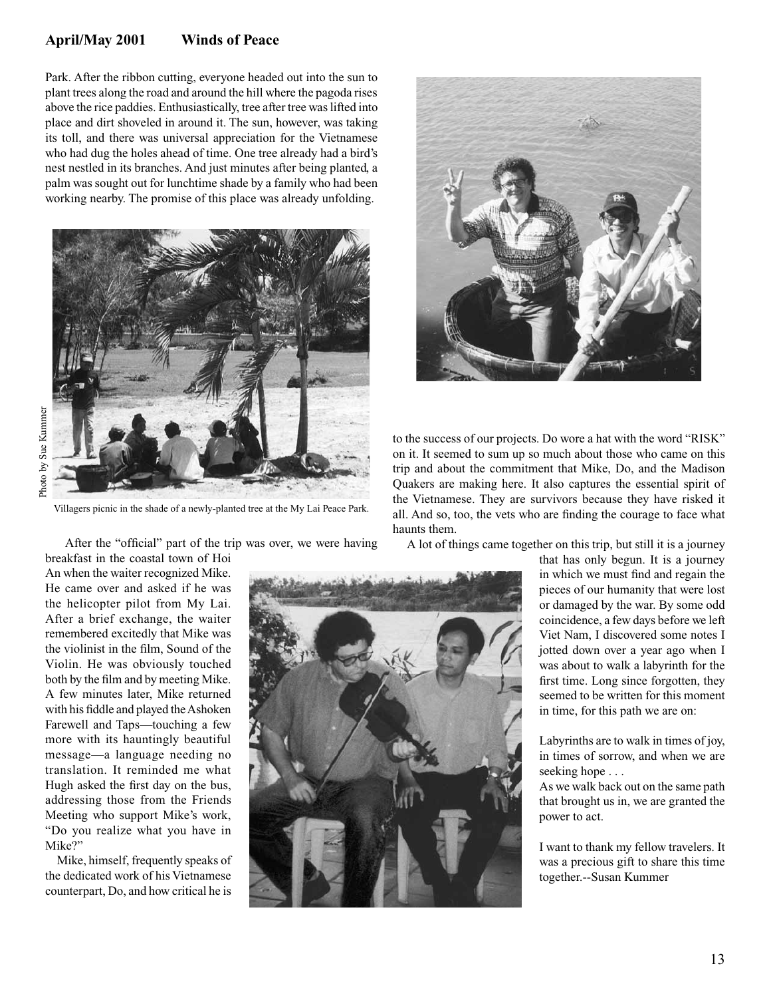### **April/May 2001 Winds of Peace**

Park. After the ribbon cutting, everyone headed out into the sun to plant trees along the road and around the hill where the pagoda rises above the rice paddies. Enthusiastically, tree after tree was lifted into place and dirt shoveled in around it. The sun, however, was taking its toll, and there was universal appreciation for the Vietnamese who had dug the holes ahead of time. One tree already had a bird's nest nestled in its branches. And just minutes after being planted, a palm was sought out for lunchtime shade by a family who had been working nearby. The promise of this place was already unfolding.



Villagers picnic in the shade of a newly-planted tree at the My Lai Peace Park.

 After the "official" part of the trip was over, we were having breakfast in the coastal town of Hoi

An when the waiter recognized Mike. He came over and asked if he was the helicopter pilot from My Lai. After a brief exchange, the waiter remembered excitedly that Mike was the violinist in the film, Sound of the Violin. He was obviously touched both by the film and by meeting Mike. A few minutes later, Mike returned with his fiddle and played the Ashoken Farewell and Taps—touching a few more with its hauntingly beautiful message—a language needing no translation. It reminded me what Hugh asked the first day on the bus, addressing those from the Friends Meeting who support Mike's work, "Do you realize what you have in Mike?"

 Mike, himself, frequently speaks of the dedicated work of his Vietnamese counterpart, Do, and how critical he is



to the success of our projects. Do wore a hat with the word "RISK" on it. It seemed to sum up so much about those who came on this trip and about the commitment that Mike, Do, and the Madison Quakers are making here. It also captures the essential spirit of the Vietnamese. They are survivors because they have risked it all. And so, too, the vets who are finding the courage to face what haunts them.

A lot of things came together on this trip, but still it is a journey

that has only begun. It is a journey in which we must find and regain the pieces of our humanity that were lost or damaged by the war. By some odd coincidence, a few days before we left Viet Nam, I discovered some notes I jotted down over a year ago when I was about to walk a labyrinth for the first time. Long since forgotten, they seemed to be written for this moment in time, for this path we are on:

Labyrinths are to walk in times of joy, in times of sorrow, and when we are seeking hope . . .

As we walk back out on the same path that brought us in, we are granted the power to act.

I want to thank my fellow travelers. It was a precious gift to share this time together.--Susan Kummer

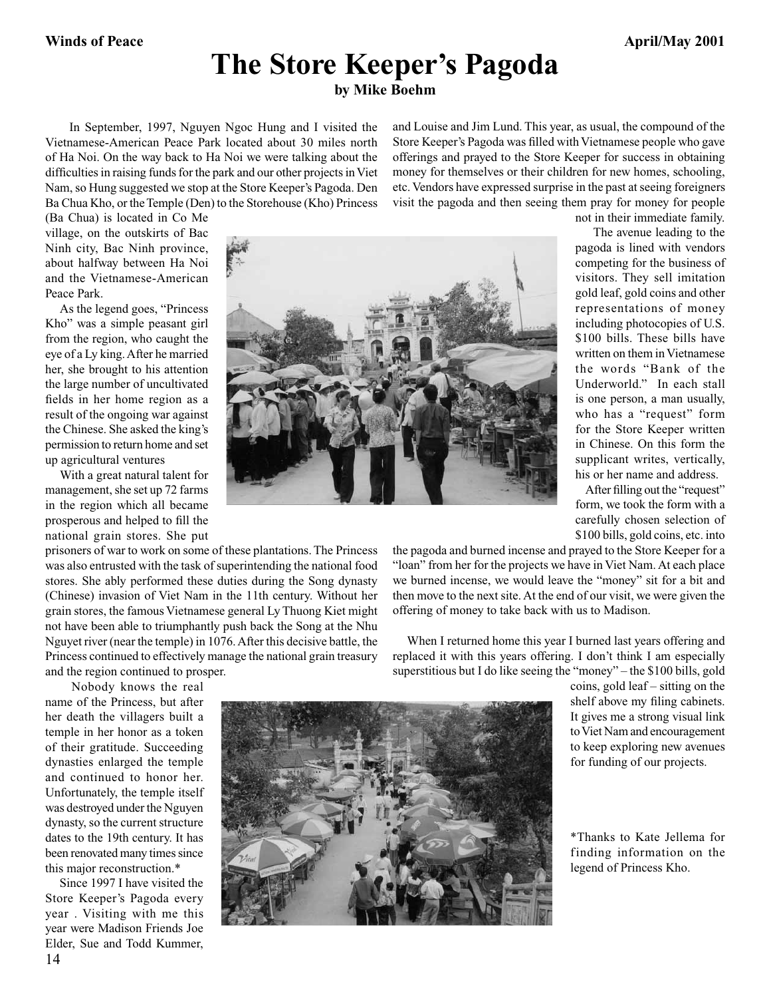# **The Store Keeper's Pagoda**

**by Mike Boehm**

 In September, 1997, Nguyen Ngoc Hung and I visited the Vietnamese-American Peace Park located about 30 miles north of Ha Noi. On the way back to Ha Noi we were talking about the difficulties in raising funds for the park and our other projects in Viet Nam, so Hung suggested we stop at the Store Keeper's Pagoda. Den Ba Chua Kho, or the Temple (Den) to the Storehouse (Kho) Princess and Louise and Jim Lund. This year, as usual, the compound of the Store Keeper's Pagoda was filled with Vietnamese people who gave offerings and prayed to the Store Keeper for success in obtaining money for themselves or their children for new homes, schooling, etc. Vendors have expressed surprise in the past at seeing foreigners visit the pagoda and then seeing them pray for money for people

(Ba Chua) is located in Co Me village, on the outskirts of Bac Ninh city, Bac Ninh province, about halfway between Ha Noi and the Vietnamese-American Peace Park.

 As the legend goes, "Princess Kho" was a simple peasant girl from the region, who caught the eye of a Ly king. After he married her, she brought to his attention the large number of uncultivated fields in her home region as a result of the ongoing war against the Chinese. She asked the king's permission to return home and set up agricultural ventures

 With a great natural talent for management, she set up 72 farms in the region which all became prosperous and helped to fill the national grain stores. She put

prisoners of war to work on some of these plantations. The Princess was also entrusted with the task of superintending the national food stores. She ably performed these duties during the Song dynasty (Chinese) invasion of Viet Nam in the 11th century. Without her grain stores, the famous Vietnamese general Ly Thuong Kiet might not have been able to triumphantly push back the Song at the Nhu Nguyet river (near the temple) in 1076. After this decisive battle, the Princess continued to effectively manage the national grain treasury and the region continued to prosper.

 Nobody knows the real name of the Princess, but after her death the villagers built a temple in her honor as a token of their gratitude. Succeeding dynasties enlarged the temple and continued to honor her. Unfortunately, the temple itself was destroyed under the Nguyen dynasty, so the current structure dates to the 19th century. It has been renovated many times since this major reconstruction.\*

14 Since 1997 I have visited the Store Keeper's Pagoda every year . Visiting with me this year were Madison Friends Joe Elder, Sue and Todd Kummer,



not in their immediate family.

 The avenue leading to the pagoda is lined with vendors competing for the business of visitors. They sell imitation gold leaf, gold coins and other representations of money including photocopies of U.S. \$100 bills. These bills have written on them in Vietnamese the words "Bank of the Underworld." In each stall is one person, a man usually, who has a "request" form for the Store Keeper written in Chinese. On this form the supplicant writes, vertically, his or her name and address.

 After filling out the "request" form, we took the form with a carefully chosen selection of \$100 bills, gold coins, etc. into

the pagoda and burned incense and prayed to the Store Keeper for a "loan" from her for the projects we have in Viet Nam. At each place we burned incense, we would leave the "money" sit for a bit and then move to the next site. At the end of our visit, we were given the offering of money to take back with us to Madison.

 When I returned home this year I burned last years offering and replaced it with this years offering. I don't think I am especially superstitious but I do like seeing the "money" – the \$100 bills, gold



coins, gold leaf – sitting on the shelf above my filing cabinets. It gives me a strong visual link to Viet Nam and encouragement to keep exploring new avenues for funding of our projects.

\*Thanks to Kate Jellema for finding information on the legend of Princess Kho.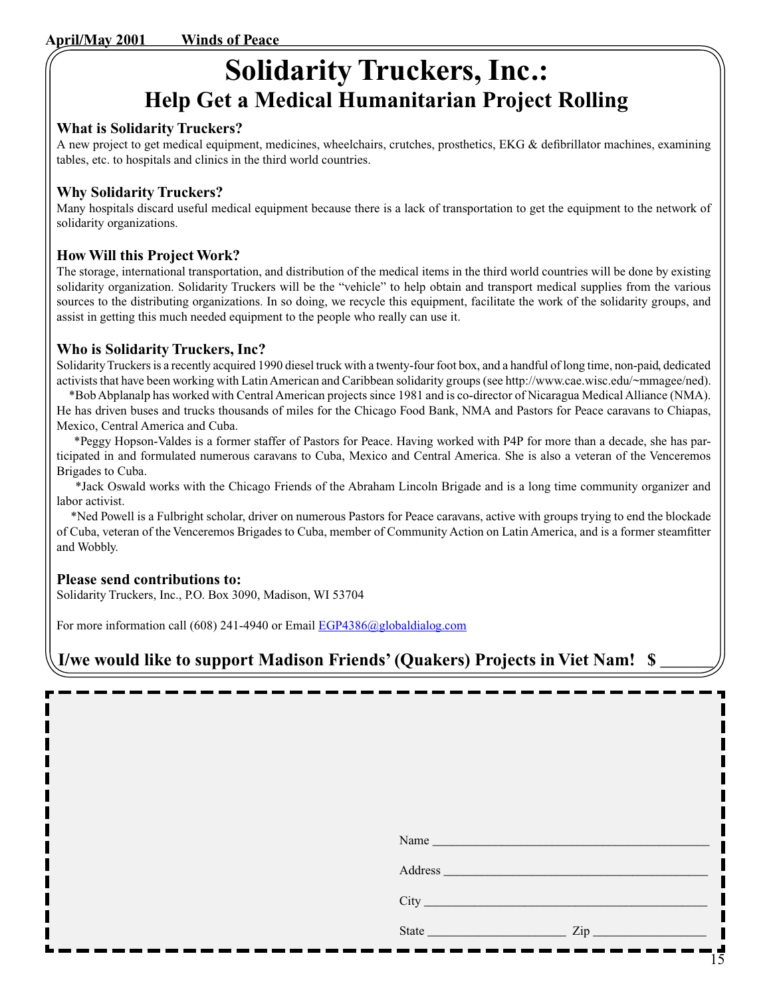# **Solidarity Truckers, Inc.: Help Get a Medical Humanitarian Project Rolling**

## **What is Solidarity Truckers?**

A new project to get medical equipment, medicines, wheelchairs, crutches, prosthetics, EKG & defibrillator machines, examining tables, etc. to hospitals and clinics in the third world countries.

## **Why Solidarity Truckers?**

Many hospitals discard useful medical equipment because there is a lack of transportation to get the equipment to the network of solidarity organizations.

## **How Will this Project Work?**

The storage, international transportation, and distribution of the medical items in the third world countries will be done by existing solidarity organization. Solidarity Truckers will be the "vehicle" to help obtain and transport medical supplies from the various sources to the distributing organizations. In so doing, we recycle this equipment, facilitate the work of the solidarity groups, and assist in getting this much needed equipment to the people who really can use it.

## **Who is Solidarity Truckers, Inc?**

Solidarity Truckers is a recently acquired 1990 diesel truck with a twenty-four foot box, and a handful of long time, non-paid, dedicated activists that have been working with Latin American and Caribbean solidarity groups (see http://www.cae.wisc.edu/~mmagee/ned).

 \*Bob Abplanalp has worked with Central American projects since 1981 and is co-director of Nicaragua Medical Alliance (NMA). He has driven buses and trucks thousands of miles for the Chicago Food Bank, NMA and Pastors for Peace caravans to Chiapas, Mexico, Central America and Cuba.

 \*Peggy Hopson-Valdes is a former staffer of Pastors for Peace. Having worked with P4P for more than a decade, she has participated in and formulated numerous caravans to Cuba, Mexico and Central America. She is also a veteran of the Venceremos Brigades to Cuba.

 \*Jack Oswald works with the Chicago Friends of the Abraham Lincoln Brigade and is a long time community organizer and labor activist.

 \*Ned Powell is a Fulbright scholar, driver on numerous Pastors for Peace caravans, active with groups trying to end the blockade of Cuba, veteran of the Venceremos Brigades to Cuba, member of Community Action on Latin America, and is a former steamfitter and Wobbly.

## **Please send contributions to:**

Solidarity Truckers, Inc., P.O. Box 3090, Madison, WI 53704

For more information call (608) 241-4940 or Email EGP4386@globaldialog.com

## **I/we would like to support Madison Friends' (Quakers) Projects in Viet Nam! \$**

| Name                                                     |                  |  |
|----------------------------------------------------------|------------------|--|
|                                                          |                  |  |
|                                                          |                  |  |
| <b>State</b><br><u> 1990 - Johann Barbara, martxa al</u> | $\mathsf{Zip}\_$ |  |
|                                                          |                  |  |